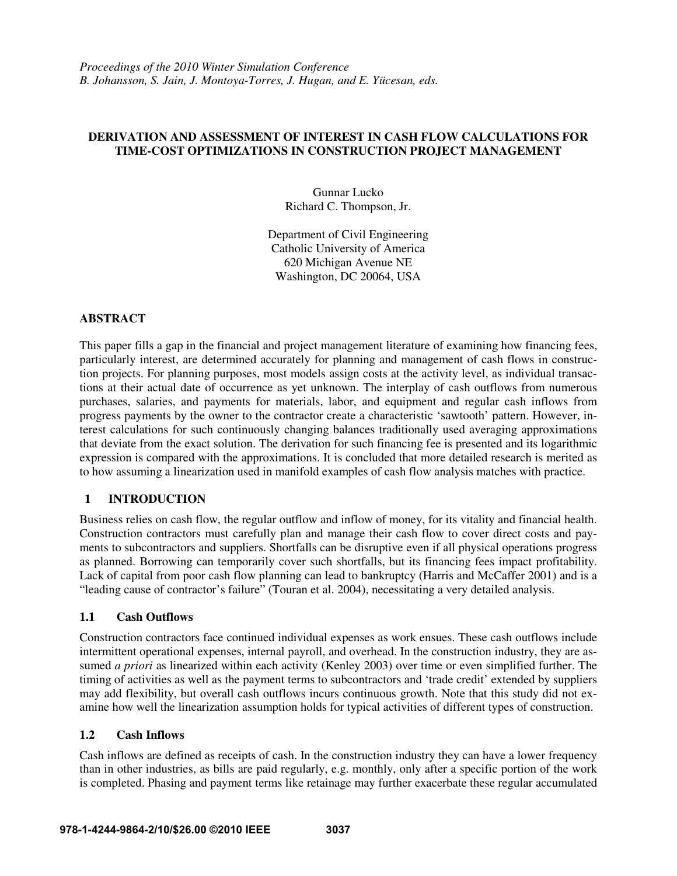## **DERIVATION AND ASSESSMENT OF INTEREST IN CASH FLOW CALCULATIONS FOR TIME-COST OPTIMIZATIONS IN CONSTRUCTION PROJECT MANAGEMENT**

Gunnar Lucko Richard C. Thompson, Jr.

Department of Civil Engineering Catholic University of America 620 Michigan Avenue NE Washington, DC 20064, USA

## **ABSTRACT**

This paper fills a gap in the financial and project management literature of examining how financing fees, particularly interest, are determined accurately for planning and management of cash flows in construction projects. For planning purposes, most models assign costs at the activity level, as individual transactions at their actual date of occurrence as yet unknown. The interplay of cash outflows from numerous purchases, salaries, and payments for materials, labor, and equipment and regular cash inflows from progress payments by the owner to the contractor create a characteristic 'sawtooth' pattern. However, interest calculations for such continuously changing balances traditionally used averaging approximations that deviate from the exact solution. The derivation for such financing fee is presented and its logarithmic expression is compared with the approximations. It is concluded that more detailed research is merited as to how assuming a linearization used in manifold examples of cash flow analysis matches with practice.

## **1 INTRODUCTION**

Business relies on cash flow, the regular outflow and inflow of money, for its vitality and financial health. Construction contractors must carefully plan and manage their cash flow to cover direct costs and payments to subcontractors and suppliers. Shortfalls can be disruptive even if all physical operations progress as planned. Borrowing can temporarily cover such shortfalls, but its financing fees impact profitability. Lack of capital from poor cash flow planning can lead to bankruptcy (Harris and McCaffer 2001) and is a "leading cause of contractor's failure" (Touran et al. 2004), necessitating a very detailed analysis.

## **1.1 Cash Outflows**

Construction contractors face continued individual expenses as work ensues. These cash outflows include intermittent operational expenses, internal payroll, and overhead. In the construction industry, they are assumed *a priori* as linearized within each activity (Kenley 2003) over time or even simplified further. The timing of activities as well as the payment terms to subcontractors and 'trade credit' extended by suppliers may add flexibility, but overall cash outflows incurs continuous growth. Note that this study did not examine how well the linearization assumption holds for typical activities of different types of construction.

## **1.2 Cash Inflows**

Cash inflows are defined as receipts of cash. In the construction industry they can have a lower frequency than in other industries, as bills are paid regularly, e.g. monthly, only after a specific portion of the work is completed. Phasing and payment terms like retainage may further exacerbate these regular accumulated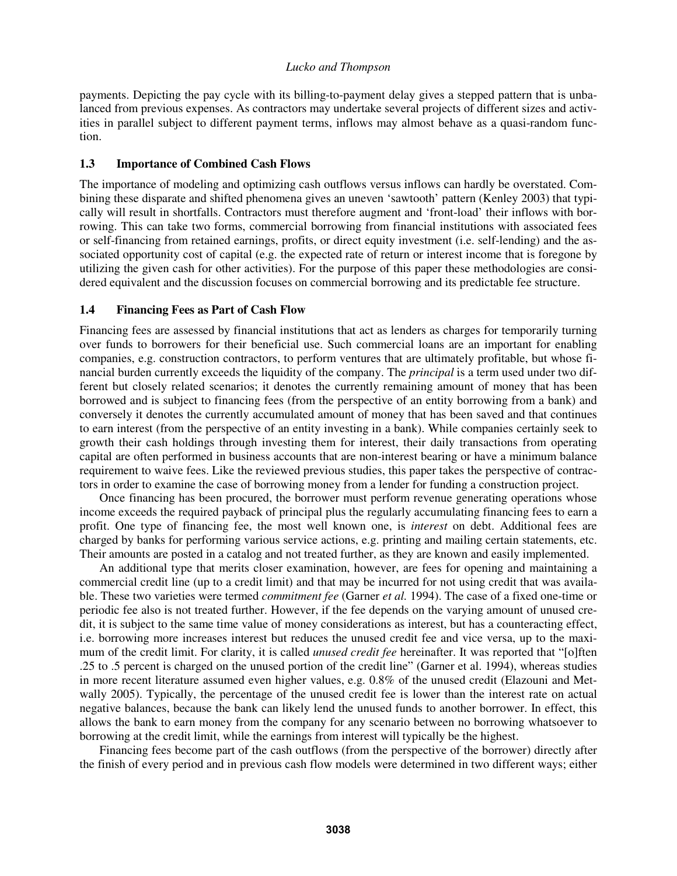payments. Depicting the pay cycle with its billing-to-payment delay gives a stepped pattern that is unbalanced from previous expenses. As contractors may undertake several projects of different sizes and activities in parallel subject to different payment terms, inflows may almost behave as a quasi-random function.

## **1.3 Importance of Combined Cash Flows**

The importance of modeling and optimizing cash outflows versus inflows can hardly be overstated. Combining these disparate and shifted phenomena gives an uneven 'sawtooth' pattern (Kenley 2003) that typically will result in shortfalls. Contractors must therefore augment and 'front-load' their inflows with borrowing. This can take two forms, commercial borrowing from financial institutions with associated fees or self-financing from retained earnings, profits, or direct equity investment (i.e. self-lending) and the associated opportunity cost of capital (e.g. the expected rate of return or interest income that is foregone by utilizing the given cash for other activities). For the purpose of this paper these methodologies are considered equivalent and the discussion focuses on commercial borrowing and its predictable fee structure.

## **1.4 Financing Fees as Part of Cash Flow**

Financing fees are assessed by financial institutions that act as lenders as charges for temporarily turning over funds to borrowers for their beneficial use. Such commercial loans are an important for enabling companies, e.g. construction contractors, to perform ventures that are ultimately profitable, but whose financial burden currently exceeds the liquidity of the company. The *principal* is a term used under two different but closely related scenarios; it denotes the currently remaining amount of money that has been borrowed and is subject to financing fees (from the perspective of an entity borrowing from a bank) and conversely it denotes the currently accumulated amount of money that has been saved and that continues to earn interest (from the perspective of an entity investing in a bank). While companies certainly seek to growth their cash holdings through investing them for interest, their daily transactions from operating capital are often performed in business accounts that are non-interest bearing or have a minimum balance requirement to waive fees. Like the reviewed previous studies, this paper takes the perspective of contractors in order to examine the case of borrowing money from a lender for funding a construction project.

Once financing has been procured, the borrower must perform revenue generating operations whose income exceeds the required payback of principal plus the regularly accumulating financing fees to earn a profit. One type of financing fee, the most well known one, is *interest* on debt. Additional fees are charged by banks for performing various service actions, e.g. printing and mailing certain statements, etc. Their amounts are posted in a catalog and not treated further, as they are known and easily implemented.

An additional type that merits closer examination, however, are fees for opening and maintaining a commercial credit line (up to a credit limit) and that may be incurred for not using credit that was available. These two varieties were termed *commitment fee* (Garner *et al.* 1994). The case of a fixed one-time or periodic fee also is not treated further. However, if the fee depends on the varying amount of unused credit, it is subject to the same time value of money considerations as interest, but has a counteracting effect, i.e. borrowing more increases interest but reduces the unused credit fee and vice versa, up to the maximum of the credit limit. For clarity, it is called *unused credit fee* hereinafter. It was reported that "[o]ften .25 to .5 percent is charged on the unused portion of the credit line" (Garner et al. 1994), whereas studies in more recent literature assumed even higher values, e.g. 0.8% of the unused credit (Elazouni and Metwally 2005). Typically, the percentage of the unused credit fee is lower than the interest rate on actual negative balances, because the bank can likely lend the unused funds to another borrower. In effect, this allows the bank to earn money from the company for any scenario between no borrowing whatsoever to borrowing at the credit limit, while the earnings from interest will typically be the highest.

Financing fees become part of the cash outflows (from the perspective of the borrower) directly after the finish of every period and in previous cash flow models were determined in two different ways; either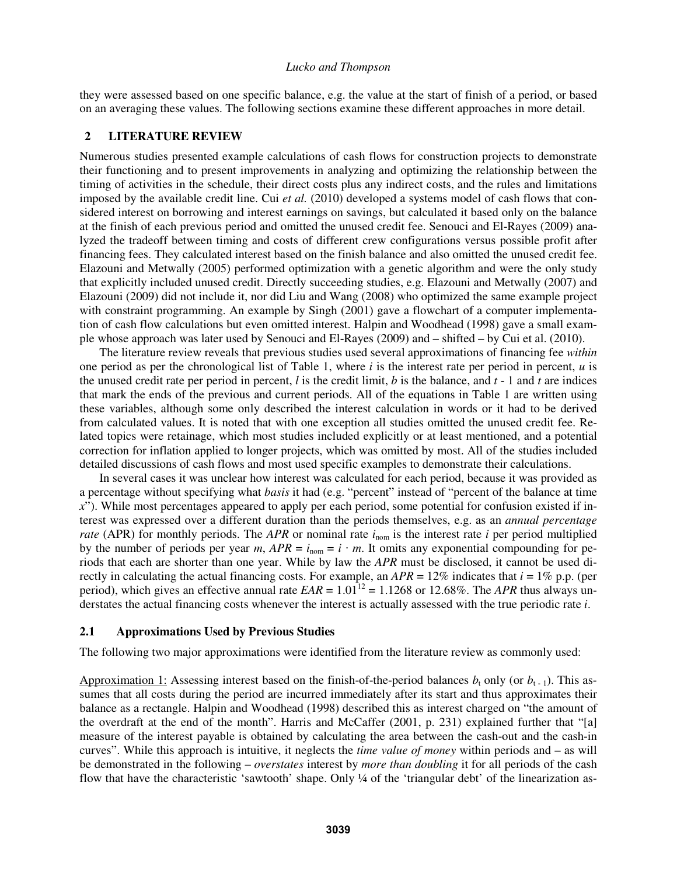they were assessed based on one specific balance, e.g. the value at the start of finish of a period, or based on an averaging these values. The following sections examine these different approaches in more detail.

## **2 LITERATURE REVIEW**

Numerous studies presented example calculations of cash flows for construction projects to demonstrate their functioning and to present improvements in analyzing and optimizing the relationship between the timing of activities in the schedule, their direct costs plus any indirect costs, and the rules and limitations imposed by the available credit line. Cui *et al.* (2010) developed a systems model of cash flows that considered interest on borrowing and interest earnings on savings, but calculated it based only on the balance at the finish of each previous period and omitted the unused credit fee. Senouci and El-Rayes (2009) analyzed the tradeoff between timing and costs of different crew configurations versus possible profit after financing fees. They calculated interest based on the finish balance and also omitted the unused credit fee. Elazouni and Metwally (2005) performed optimization with a genetic algorithm and were the only study that explicitly included unused credit. Directly succeeding studies, e.g. Elazouni and Metwally (2007) and Elazouni (2009) did not include it, nor did Liu and Wang (2008) who optimized the same example project with constraint programming. An example by Singh (2001) gave a flowchart of a computer implementation of cash flow calculations but even omitted interest. Halpin and Woodhead (1998) gave a small example whose approach was later used by Senouci and El-Rayes (2009) and – shifted – by Cui et al. (2010).

The literature review reveals that previous studies used several approximations of financing fee *within* one period as per the chronological list of Table 1, where *i* is the interest rate per period in percent, *u* is the unused credit rate per period in percent, *l* is the credit limit, *b* is the balance, and *t* - 1 and *t* are indices that mark the ends of the previous and current periods. All of the equations in Table 1 are written using these variables, although some only described the interest calculation in words or it had to be derived from calculated values. It is noted that with one exception all studies omitted the unused credit fee. Related topics were retainage, which most studies included explicitly or at least mentioned, and a potential correction for inflation applied to longer projects, which was omitted by most. All of the studies included detailed discussions of cash flows and most used specific examples to demonstrate their calculations.

In several cases it was unclear how interest was calculated for each period, because it was provided as a percentage without specifying what *basis* it had (e.g. "percent" instead of "percent of the balance at time *x*"). While most percentages appeared to apply per each period, some potential for confusion existed if interest was expressed over a different duration than the periods themselves, e.g. as an *annual percentage rate* (APR) for monthly periods. The *APR* or nominal rate  $i_{\text{nom}}$  is the interest rate *i* per period multiplied by the number of periods per year *m*,  $APR = i_{nom} = i \cdot m$ . It omits any exponential compounding for periods that each are shorter than one year. While by law the *APR* must be disclosed, it cannot be used directly in calculating the actual financing costs. For example, an  $APR = 12\%$  indicates that  $i = 1\%$  p.p. (per period), which gives an effective annual rate  $EAR = 1.01^{12} = 1.1268$  or 12.68%. The *APR* thus always understates the actual financing costs whenever the interest is actually assessed with the true periodic rate *i*.

#### **2.1 Approximations Used by Previous Studies**

The following two major approximations were identified from the literature review as commonly used:

Approximation 1: Assessing interest based on the finish-of-the-period balances  $b_t$  only (or  $b_{t-1}$ ). This assumes that all costs during the period are incurred immediately after its start and thus approximates their balance as a rectangle. Halpin and Woodhead (1998) described this as interest charged on "the amount of the overdraft at the end of the month". Harris and McCaffer (2001, p. 231) explained further that "[a] measure of the interest payable is obtained by calculating the area between the cash-out and the cash-in curves". While this approach is intuitive, it neglects the *time value of money* within periods and – as will be demonstrated in the following – *overstates* interest by *more than doubling* it for all periods of the cash flow that have the characteristic 'sawtooth' shape. Only ¼ of the 'triangular debt' of the linearization as-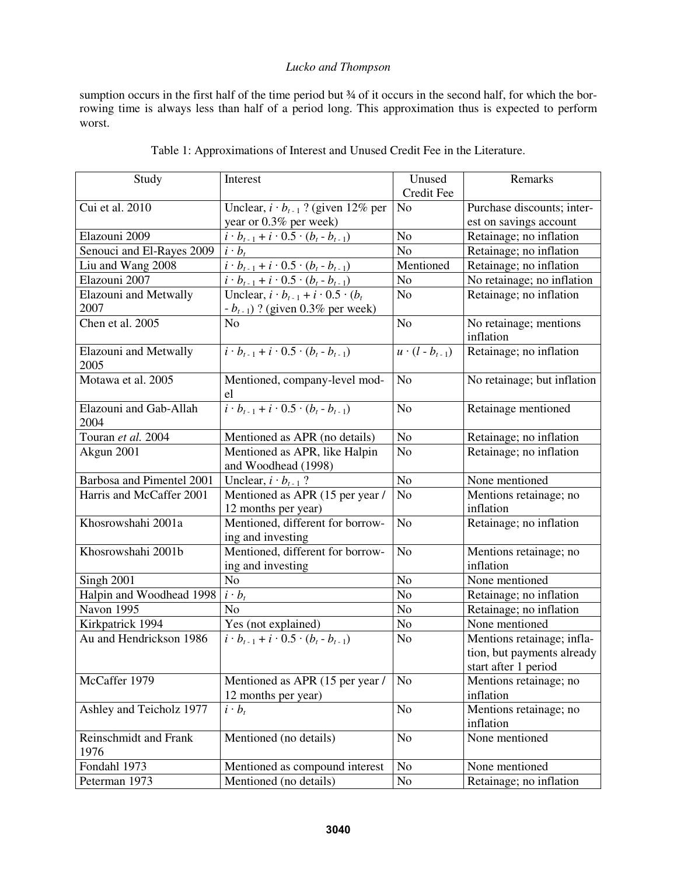sumption occurs in the first half of the time period but  $\frac{3}{4}$  of it occurs in the second half, for which the borrowing time is always less than half of a period long. This approximation thus is expected to perform worst.

| Study                          | Interest                                              | Unused                  | Remarks                     |
|--------------------------------|-------------------------------------------------------|-------------------------|-----------------------------|
|                                |                                                       | Credit Fee              |                             |
| Cui et al. 2010                | Unclear, $i \cdot b_{t-1}$ ? (given 12% per           | N <sub>o</sub>          | Purchase discounts; inter-  |
|                                | year or 0.3% per week)                                |                         | est on savings account      |
| Elazouni 2009                  | $i \cdot b_{t-1} + i \cdot 0.5 \cdot (b_t - b_{t-1})$ | N <sub>o</sub>          | Retainage; no inflation     |
| Senouci and El-Rayes 2009      | $i \cdot b_t$                                         | N <sub>o</sub>          | Retainage; no inflation     |
| Liu and Wang 2008              | $i \cdot b_{t-1} + i \cdot 0.5 \cdot (b_t - b_{t-1})$ | Mentioned               | Retainage; no inflation     |
| Elazouni 2007                  | $i \cdot b_{t-1} + i \cdot 0.5 \cdot (b_t - b_{t-1})$ | N <sub>o</sub>          | No retainage; no inflation  |
| <b>Elazouni</b> and Metwally   | Unclear, $i \cdot b_{t-1} + i \cdot 0.5 \cdot (b_t)$  | N <sub>o</sub>          | Retainage; no inflation     |
| 2007                           | $-b_{t-1}$ ) ? (given 0.3% per week)                  |                         |                             |
| Chen et al. 2005               | N <sub>o</sub>                                        | N <sub>o</sub>          | No retainage; mentions      |
|                                |                                                       |                         | inflation                   |
| Elazouni and Metwally<br>2005  | $i \cdot b_{t-1} + i \cdot 0.5 \cdot (b_t - b_{t-1})$ | $u \cdot (l - b_{t-1})$ | Retainage; no inflation     |
| Motawa et al. 2005             | Mentioned, company-level mod-<br>el                   | N <sub>o</sub>          | No retainage; but inflation |
| Elazouni and Gab-Allah<br>2004 | $i \cdot b_{t-1} + i \cdot 0.5 \cdot (b_t - b_{t-1})$ | N <sub>o</sub>          | Retainage mentioned         |
| Touran et al. 2004             | Mentioned as APR (no details)                         | N <sub>o</sub>          | Retainage; no inflation     |
| Akgun 2001                     | Mentioned as APR, like Halpin                         | N <sub>o</sub>          | Retainage; no inflation     |
|                                | and Woodhead (1998)                                   |                         |                             |
| Barbosa and Pimentel 2001      | Unclear, $i \cdot b_{t-1}$ ?                          | N <sub>o</sub>          | None mentioned              |
| Harris and McCaffer 2001       | Mentioned as APR (15 per year /                       | N <sub>o</sub>          | Mentions retainage; no      |
|                                | 12 months per year)                                   |                         | inflation                   |
| Khosrowshahi 2001a             | Mentioned, different for borrow-                      | N <sub>o</sub>          | Retainage; no inflation     |
|                                | ing and investing                                     |                         |                             |
| Khosrowshahi 2001b             | Mentioned, different for borrow-                      | N <sub>o</sub>          | Mentions retainage; no      |
|                                | ing and investing                                     |                         | inflation                   |
| Singh 2001                     | No                                                    | N <sub>o</sub>          | None mentioned              |
| Halpin and Woodhead 1998       | $i \cdot b_t$                                         | N <sub>o</sub>          | Retainage; no inflation     |
| Navon 1995                     | No                                                    | N <sub>o</sub>          | Retainage; no inflation     |
| Kirkpatrick 1994               | Yes (not explained)                                   | N <sub>0</sub>          | None mentioned              |
| Au and Hendrickson 1986        | $i \cdot b_{t-1} + i \cdot 0.5 \cdot (b_t - b_{t-1})$ | N <sub>o</sub>          | Mentions retainage; infla-  |
|                                |                                                       |                         | tion, but payments already  |
|                                |                                                       |                         | start after 1 period        |
| McCaffer 1979                  | Mentioned as APR (15 per year /                       | N <sub>o</sub>          | Mentions retainage; no      |
|                                | 12 months per year)                                   |                         | inflation                   |
| Ashley and Teicholz 1977       | $i \cdot b_t$                                         | N <sub>o</sub>          | Mentions retainage; no      |
|                                |                                                       |                         | inflation                   |
| Reinschmidt and Frank<br>1976  | Mentioned (no details)                                | N <sub>o</sub>          | None mentioned              |
| Fondahl 1973                   | Mentioned as compound interest                        | $\rm No$                | None mentioned              |
| Peterman 1973                  | Mentioned (no details)                                | N <sub>0</sub>          | Retainage; no inflation     |

# Table 1: Approximations of Interest and Unused Credit Fee in the Literature.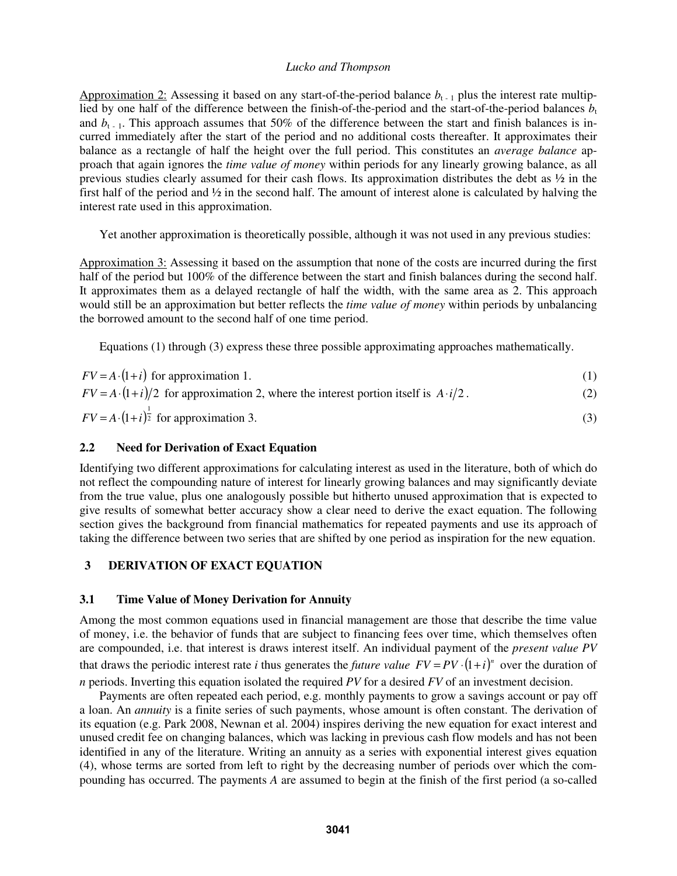Approximation 2: Assessing it based on any start-of-the-period balance  $b_{t-1}$  plus the interest rate multiplied by one half of the difference between the finish-of-the-period and the start-of-the-period balances  $b_t$ and  $b_{t-1}$ . This approach assumes that 50% of the difference between the start and finish balances is incurred immediately after the start of the period and no additional costs thereafter. It approximates their balance as a rectangle of half the height over the full period. This constitutes an *average balance* approach that again ignores the *time value of money* within periods for any linearly growing balance, as all previous studies clearly assumed for their cash flows. Its approximation distributes the debt as ½ in the first half of the period and  $\frac{1}{2}$  in the second half. The amount of interest alone is calculated by halving the interest rate used in this approximation.

Yet another approximation is theoretically possible, although it was not used in any previous studies:

Approximation 3: Assessing it based on the assumption that none of the costs are incurred during the first half of the period but 100% of the difference between the start and finish balances during the second half. It approximates them as a delayed rectangle of half the width, with the same area as 2. This approach would still be an approximation but better reflects the *time value of money* within periods by unbalancing the borrowed amount to the second half of one time period.

Equations (1) through (3) express these three possible approximating approaches mathematically.

| $FV = A \cdot (1 + i)$ for approximation 1.                                                        |     |
|----------------------------------------------------------------------------------------------------|-----|
| $FV = A \cdot (1 + i)/2$ for approximation 2, where the interest portion itself is $A \cdot i/2$ . | (2) |
| $FV = A \cdot (1 + i)^{\frac{1}{2}}$ for approximation 3.                                          |     |

## **2.2 Need for Derivation of Exact Equation**

Identifying two different approximations for calculating interest as used in the literature, both of which do not reflect the compounding nature of interest for linearly growing balances and may significantly deviate from the true value, plus one analogously possible but hitherto unused approximation that is expected to give results of somewhat better accuracy show a clear need to derive the exact equation. The following section gives the background from financial mathematics for repeated payments and use its approach of taking the difference between two series that are shifted by one period as inspiration for the new equation.

## **3 DERIVATION OF EXACT EQUATION**

## **3.1 Time Value of Money Derivation for Annuity**

Among the most common equations used in financial management are those that describe the time value of money, i.e. the behavior of funds that are subject to financing fees over time, which themselves often are compounded, i.e. that interest is draws interest itself. An individual payment of the *present value PV* that draws the periodic interest rate *i* thus generates the *future value*  $FV = PV \cdot (1 + i)^n$  over the duration of *n* periods. Inverting this equation isolated the required *PV* for a desired *FV* of an investment decision.

Payments are often repeated each period, e.g. monthly payments to grow a savings account or pay off a loan. An *annuity* is a finite series of such payments, whose amount is often constant. The derivation of its equation (e.g. Park 2008, Newnan et al. 2004) inspires deriving the new equation for exact interest and unused credit fee on changing balances, which was lacking in previous cash flow models and has not been identified in any of the literature. Writing an annuity as a series with exponential interest gives equation (4), whose terms are sorted from left to right by the decreasing number of periods over which the compounding has occurred. The payments *A* are assumed to begin at the finish of the first period (a so-called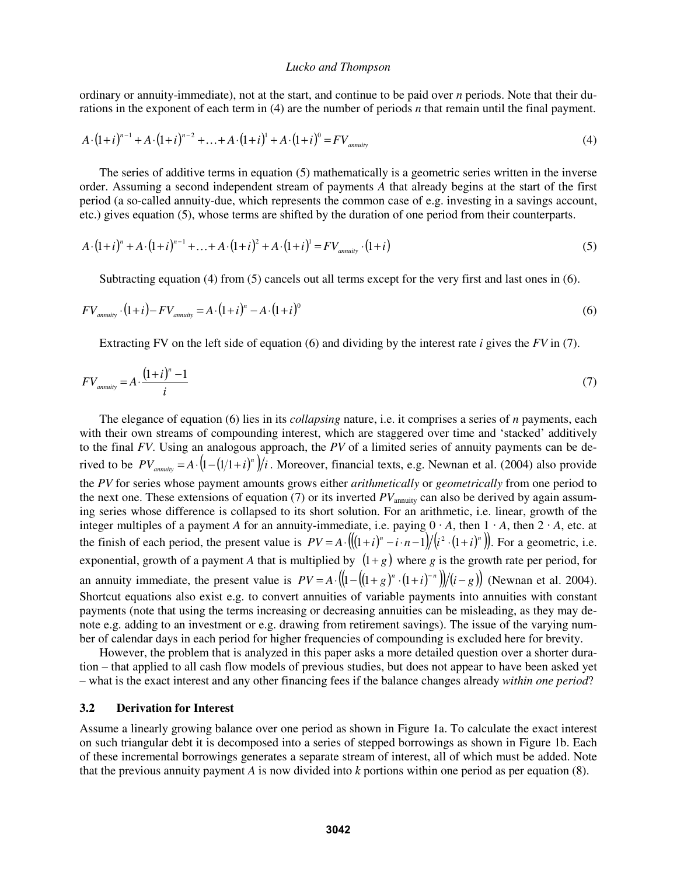ordinary or annuity-immediate), not at the start, and continue to be paid over *n* periods. Note that their durations in the exponent of each term in (4) are the number of periods *n* that remain until the final payment.

$$
A \cdot (1+i)^{n-1} + A \cdot (1+i)^{n-2} + \ldots + A \cdot (1+i)^1 + A \cdot (1+i)^0 = FV_{\text{annuity}} \tag{4}
$$

The series of additive terms in equation (5) mathematically is a geometric series written in the inverse order. Assuming a second independent stream of payments *A* that already begins at the start of the first period (a so-called annuity-due, which represents the common case of e.g. investing in a savings account, etc.) gives equation (5), whose terms are shifted by the duration of one period from their counterparts.

$$
A \cdot (1+i)^n + A \cdot (1+i)^{n-1} + \ldots + A \cdot (1+i)^2 + A \cdot (1+i)^1 = F V_{\text{annuity}} \cdot (1+i)
$$
 (5)

Subtracting equation (4) from (5) cancels out all terms except for the very first and last ones in (6).

$$
FV_{\text{annuity}} \cdot (1+i) - FV_{\text{annuity}} = A \cdot (1+i)^n - A \cdot (1+i)^0 \tag{6}
$$

Extracting FV on the left side of equation (6) and dividing by the interest rate *i* gives the *FV* in (7).

$$
FV_{annuity} = A \cdot \frac{(1+i)^n - 1}{i} \tag{7}
$$

The elegance of equation (6) lies in its *collapsing* nature, i.e. it comprises a series of *n* payments, each with their own streams of compounding interest, which are staggered over time and 'stacked' additively to the final *FV*. Using an analogous approach, the *PV* of a limited series of annuity payments can be derived to be  $PV_{\text{annuity}} = A \cdot (1 - (1/1 + i)^n)/i$ . Moreover, financial texts, e.g. Newnan et al. (2004) also provide the *PV* for series whose payment amounts grows either *arithmetically* or *geometrically* from one period to the next one. These extensions of equation  $(7)$  or its inverted  $PV_{\text{annuity}}$  can also be derived by again assuming series whose difference is collapsed to its short solution. For an arithmetic, i.e. linear, growth of the integer multiples of a payment *A* for an annuity-immediate, i.e. paying  $0 \cdot A$ , then  $1 \cdot A$ , then  $2 \cdot A$ , etc. at the finish of each period, the present value is  $PV = A \cdot ((1+i)^n - i \cdot n-1)/(i^2 \cdot (1+i)^n)$ . For a geometric, i.e. exponential, growth of a payment *A* that is multiplied by  $(1+g)$  where *g* is the growth rate per period, for an annuity immediate, the present value is  $PV = A \cdot ((1 - ((1 + g)^n \cdot (1 + i)^{-n})) / (i - g))$  (Newnan et al. 2004). Shortcut equations also exist e.g. to convert annuities of variable payments into annuities with constant payments (note that using the terms increasing or decreasing annuities can be misleading, as they may denote e.g. adding to an investment or e.g. drawing from retirement savings). The issue of the varying number of calendar days in each period for higher frequencies of compounding is excluded here for brevity.

However, the problem that is analyzed in this paper asks a more detailed question over a shorter duration – that applied to all cash flow models of previous studies, but does not appear to have been asked yet – what is the exact interest and any other financing fees if the balance changes already *within one period*?

## **3.2 Derivation for Interest**

Assume a linearly growing balance over one period as shown in Figure 1a. To calculate the exact interest on such triangular debt it is decomposed into a series of stepped borrowings as shown in Figure 1b. Each of these incremental borrowings generates a separate stream of interest, all of which must be added. Note that the previous annuity payment *A* is now divided into *k* portions within one period as per equation (8).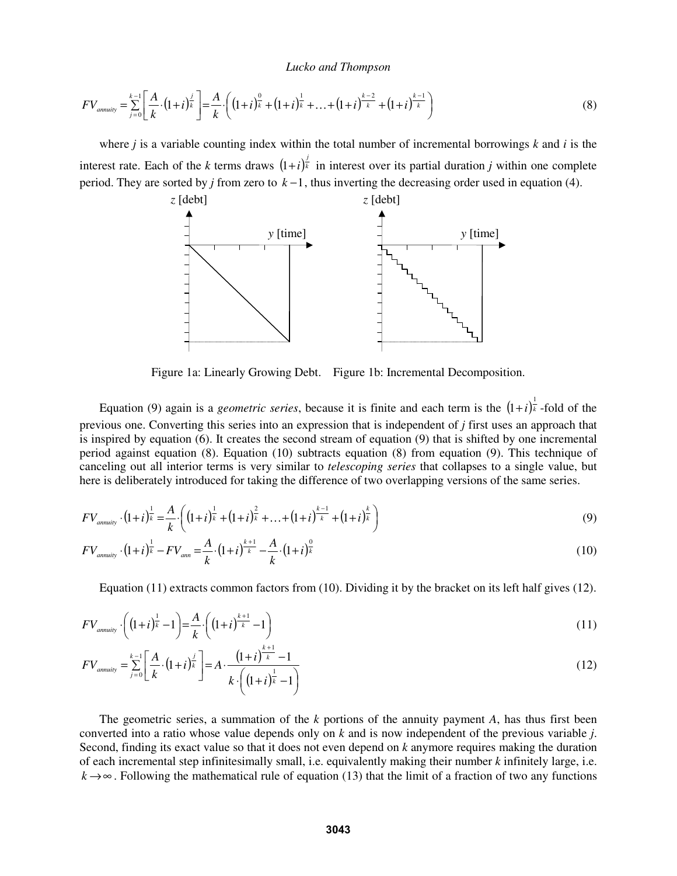$$
FV_{\text{annuity}} = \sum_{j=0}^{k-1} \left[ \frac{A}{k} \cdot (1+i)^{\frac{j}{k}} \right] = \frac{A}{k} \cdot \left( (1+i)^{\frac{0}{k}} + (1+i)^{\frac{1}{k}} + \dots + (1+i)^{\frac{k-2}{k}} + (1+i)^{\frac{k-1}{k}} \right) \tag{8}
$$

where *j* is a variable counting index within the total number of incremental borrowings *k* and *i* is the interest rate. Each of the *k* terms draws  $(1+i)^{\frac{j}{k}}$  in interest over its partial duration *j* within one complete period. They are sorted by *j* from zero to *k* −1, thus inverting the decreasing order used in equation (4).



Figure 1a: Linearly Growing Debt. Figure 1b: Incremental Decomposition.

Equation (9) again is a *geometric series*, because it is finite and each term is the  $(1+i)^{\frac{1}{k}}$ -fold of the previous one. Converting this series into an expression that is independent of *j* first uses an approach that is inspired by equation (6). It creates the second stream of equation (9) that is shifted by one incremental period against equation (8). Equation (10) subtracts equation (8) from equation (9). This technique of canceling out all interior terms is very similar to *telescoping series* that collapses to a single value, but here is deliberately introduced for taking the difference of two overlapping versions of the same series.

$$
FV_{annuity} \cdot (1+i)^{\frac{1}{k}} = \frac{A}{k} \cdot \left( (1+i)^{\frac{1}{k}} + (1+i)^{\frac{2}{k}} + \ldots + (1+i)^{\frac{k-1}{k}} + (1+i)^{\frac{k}{k}} \right)
$$
(9)

$$
FV_{\text{annuity}} \cdot (1+i)^{\frac{1}{k}} - FV_{\text{ann}} = \frac{A}{k} \cdot (1+i)^{\frac{k+1}{k}} - \frac{A}{k} \cdot (1+i)^{\frac{0}{k}}
$$
(10)

Equation (11) extracts common factors from (10). Dividing it by the bracket on its left half gives (12).

$$
FV_{\text{annuity}} \cdot \left( (1+i)^{\frac{1}{k}} - 1 \right) = \frac{A}{k} \cdot \left( (1+i)^{\frac{k+1}{k}} - 1 \right) \tag{11}
$$

$$
FV_{\text{annuity}} = \sum_{j=0}^{k-1} \left[ \frac{A}{k} \cdot (1+i)^{\frac{j}{k}} \right] = A \cdot \frac{(1+i)^{\frac{k+1}{k}} - 1}{k \cdot \left( (1+i)^{\frac{1}{k}} - 1 \right)}
$$
(12)

The geometric series, a summation of the *k* portions of the annuity payment *A*, has thus first been converted into a ratio whose value depends only on *k* and is now independent of the previous variable *j*. Second, finding its exact value so that it does not even depend on *k* anymore requires making the duration of each incremental step infinitesimally small, i.e. equivalently making their number *k* infinitely large, i.e.  $k \rightarrow \infty$ . Following the mathematical rule of equation (13) that the limit of a fraction of two any functions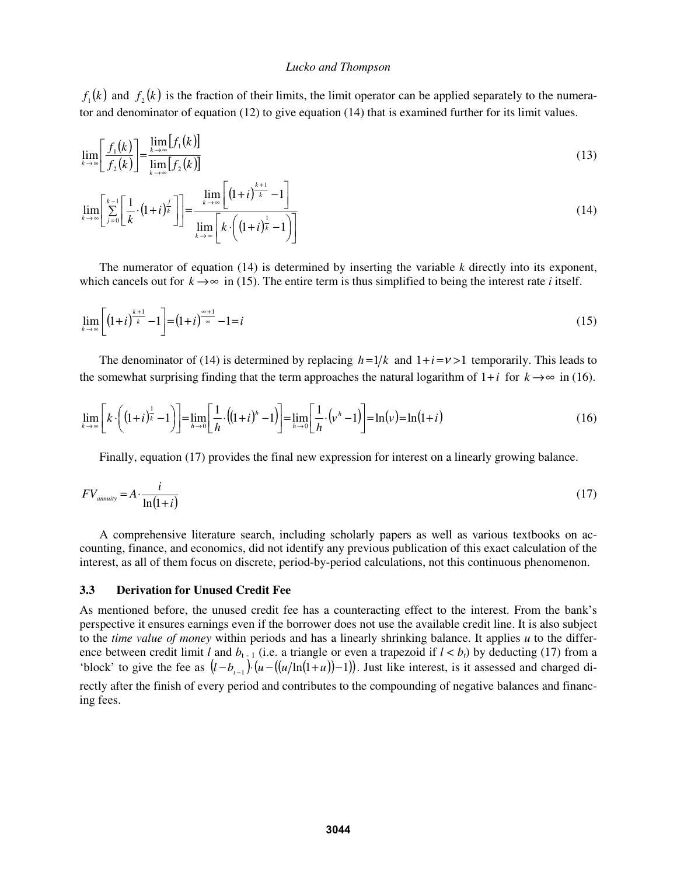$f_1(k)$  and  $f_2(k)$  is the fraction of their limits, the limit operator can be applied separately to the numerator and denominator of equation (12) to give equation (14) that is examined further for its limit values.

$$
\lim_{k \to \infty} \left[ \frac{f_1(k)}{f_2(k)} \right] = \frac{\lim_{k \to \infty} [f_1(k)]}{\lim_{k \to \infty} [f_2(k)]}
$$
\n(13)

$$
\lim_{k \to \infty} \left[ \sum_{j=0}^{k-1} \left[ \frac{1}{k} \cdot (1+i)^{\frac{j}{k}} \right] \right] = \frac{\lim_{k \to \infty} \left[ (1+i)^{\frac{k+1}{k}} - 1 \right]}{\lim_{k \to \infty} \left[ k \cdot \left( (1+i)^{\frac{1}{k}} - 1 \right) \right]}
$$
(14)

The numerator of equation (14) is determined by inserting the variable *k* directly into its exponent, which cancels out for  $k \rightarrow \infty$  in (15). The entire term is thus simplified to being the interest rate *i* itself.

$$
\lim_{k \to \infty} \left[ \left( 1 + i \right)^{\frac{k+1}{k}} - 1 \right] = \left( 1 + i \right)^{\frac{\infty + 1}{\infty}} - 1 = i \tag{15}
$$

The denominator of (14) is determined by replacing  $h = 1/k$  and  $1 + i = v > 1$  temporarily. This leads to the somewhat surprising finding that the term approaches the natural logarithm of  $1+i$  for  $k \rightarrow \infty$  in (16).

$$
\lim_{k \to \infty} \left[ k \cdot \left( (1+i)^{\frac{1}{k}} - 1 \right) \right] = \lim_{h \to 0} \left[ \frac{1}{h} \cdot \left( (1+i)^h - 1 \right) \right] = \lim_{h \to 0} \left[ \frac{1}{h} \cdot \left( v^h - 1 \right) \right] = \ln(v) = \ln(1+i)
$$
\n(16)

Finally, equation (17) provides the final new expression for interest on a linearly growing balance.

$$
FV_{\text{annuity}} = A \cdot \frac{i}{\ln(1+i)}\tag{17}
$$

A comprehensive literature search, including scholarly papers as well as various textbooks on accounting, finance, and economics, did not identify any previous publication of this exact calculation of the interest, as all of them focus on discrete, period-by-period calculations, not this continuous phenomenon.

### **3.3 Derivation for Unused Credit Fee**

As mentioned before, the unused credit fee has a counteracting effect to the interest. From the bank's perspective it ensures earnings even if the borrower does not use the available credit line. It is also subject to the *time value of money* within periods and has a linearly shrinking balance. It applies *u* to the difference between credit limit *l* and  $b_{t-1}$  (i.e. a triangle or even a trapezoid if  $l < b_t$ ) by deducting (17) from a 'block' to give the fee as  $(l - b_{i-1}) \cdot (u - ((u/\ln(1+u)) - 1))$ . Just like interest, is it assessed and charged di-

rectly after the finish of every period and contributes to the compounding of negative balances and financing fees.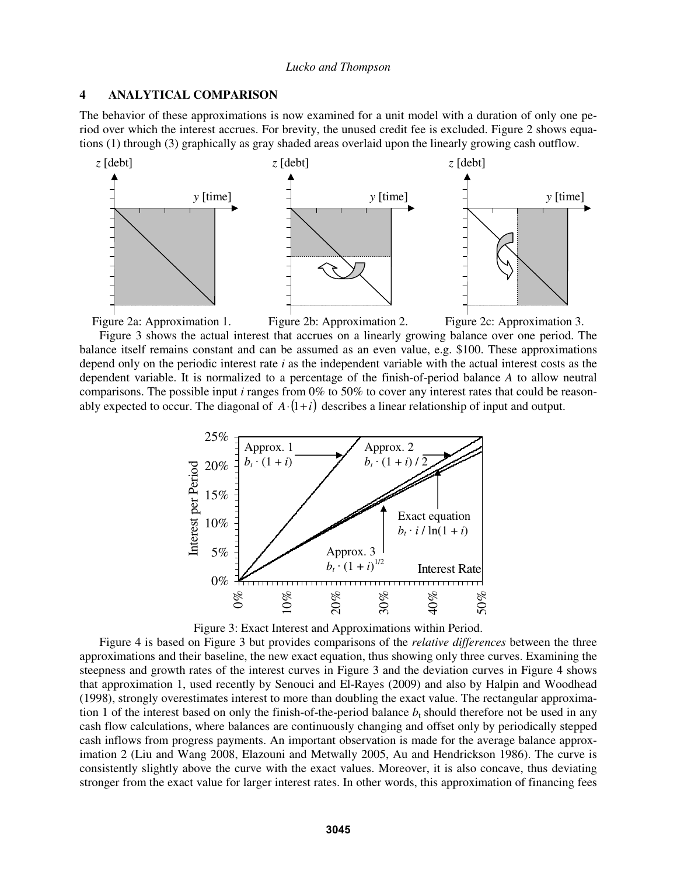### **4 ANALYTICAL COMPARISON**

The behavior of these approximations is now examined for a unit model with a duration of only one period over which the interest accrues. For brevity, the unused credit fee is excluded. Figure 2 shows equations (1) through (3) graphically as gray shaded areas overlaid upon the linearly growing cash outflow.





Figure 3 shows the actual interest that accrues on a linearly growing balance over one period. The balance itself remains constant and can be assumed as an even value, e.g. \$100. These approximations depend only on the periodic interest rate *i* as the independent variable with the actual interest costs as the dependent variable. It is normalized to a percentage of the finish-of-period balance *A* to allow neutral comparisons. The possible input *i* ranges from 0% to 50% to cover any interest rates that could be reasonably expected to occur. The diagonal of  $A \cdot (1+i)$  describes a linear relationship of input and output.



Figure 3: Exact Interest and Approximations within Period.

Figure 4 is based on Figure 3 but provides comparisons of the *relative differences* between the three approximations and their baseline, the new exact equation, thus showing only three curves. Examining the steepness and growth rates of the interest curves in Figure 3 and the deviation curves in Figure 4 shows that approximation 1, used recently by Senouci and El-Rayes (2009) and also by Halpin and Woodhead (1998), strongly overestimates interest to more than doubling the exact value. The rectangular approximation 1 of the interest based on only the finish-of-the-period balance  $b<sub>t</sub>$  should therefore not be used in any cash flow calculations, where balances are continuously changing and offset only by periodically stepped cash inflows from progress payments. An important observation is made for the average balance approximation 2 (Liu and Wang 2008, Elazouni and Metwally 2005, Au and Hendrickson 1986). The curve is consistently slightly above the curve with the exact values. Moreover, it is also concave, thus deviating stronger from the exact value for larger interest rates. In other words, this approximation of financing fees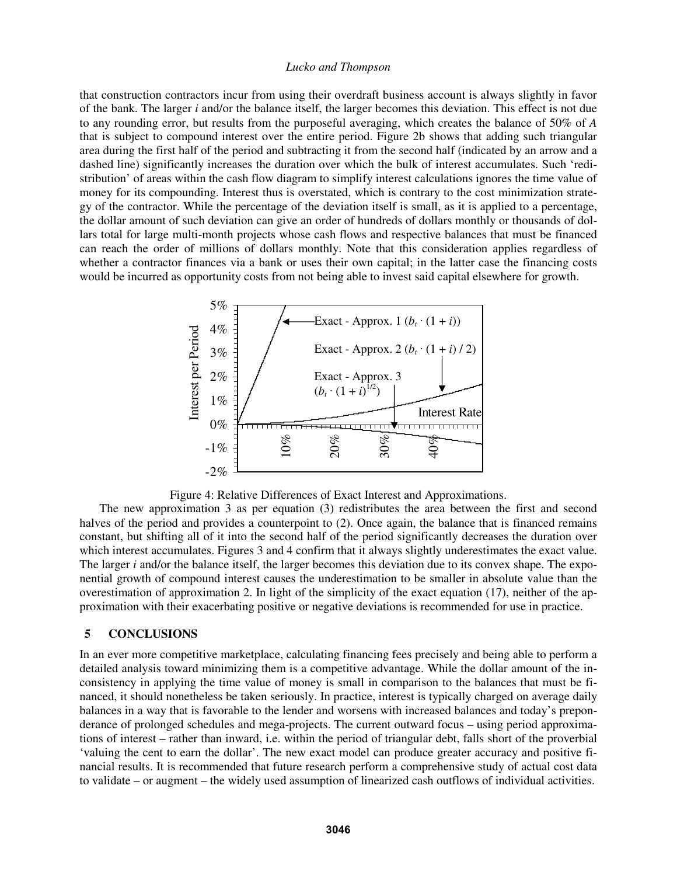that construction contractors incur from using their overdraft business account is always slightly in favor of the bank. The larger *i* and/or the balance itself, the larger becomes this deviation. This effect is not due to any rounding error, but results from the purposeful averaging, which creates the balance of 50% of *A* that is subject to compound interest over the entire period. Figure 2b shows that adding such triangular area during the first half of the period and subtracting it from the second half (indicated by an arrow and a dashed line) significantly increases the duration over which the bulk of interest accumulates. Such 'redistribution' of areas within the cash flow diagram to simplify interest calculations ignores the time value of money for its compounding. Interest thus is overstated, which is contrary to the cost minimization strategy of the contractor. While the percentage of the deviation itself is small, as it is applied to a percentage, the dollar amount of such deviation can give an order of hundreds of dollars monthly or thousands of dollars total for large multi-month projects whose cash flows and respective balances that must be financed can reach the order of millions of dollars monthly. Note that this consideration applies regardless of whether a contractor finances via a bank or uses their own capital; in the latter case the financing costs would be incurred as opportunity costs from not being able to invest said capital elsewhere for growth.



Figure 4: Relative Differences of Exact Interest and Approximations.

The new approximation 3 as per equation (3) redistributes the area between the first and second halves of the period and provides a counterpoint to (2). Once again, the balance that is financed remains constant, but shifting all of it into the second half of the period significantly decreases the duration over which interest accumulates. Figures 3 and 4 confirm that it always slightly underestimates the exact value. The larger *i* and/or the balance itself, the larger becomes this deviation due to its convex shape. The exponential growth of compound interest causes the underestimation to be smaller in absolute value than the overestimation of approximation 2. In light of the simplicity of the exact equation (17), neither of the approximation with their exacerbating positive or negative deviations is recommended for use in practice.

## **5 CONCLUSIONS**

In an ever more competitive marketplace, calculating financing fees precisely and being able to perform a detailed analysis toward minimizing them is a competitive advantage. While the dollar amount of the inconsistency in applying the time value of money is small in comparison to the balances that must be financed, it should nonetheless be taken seriously. In practice, interest is typically charged on average daily balances in a way that is favorable to the lender and worsens with increased balances and today's preponderance of prolonged schedules and mega-projects. The current outward focus – using period approximations of interest – rather than inward, i.e. within the period of triangular debt, falls short of the proverbial 'valuing the cent to earn the dollar'. The new exact model can produce greater accuracy and positive financial results. It is recommended that future research perform a comprehensive study of actual cost data to validate – or augment – the widely used assumption of linearized cash outflows of individual activities.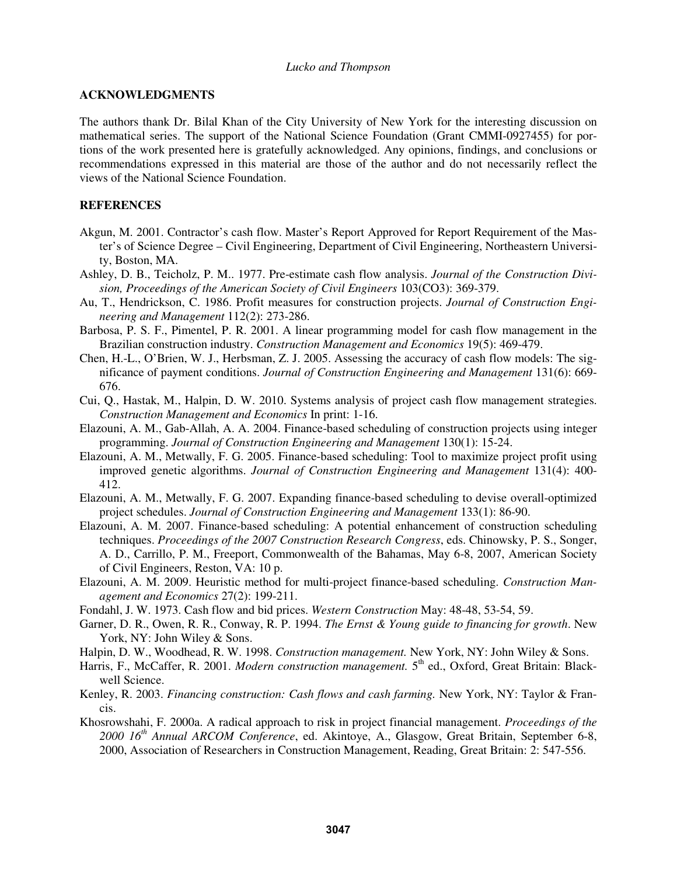### **ACKNOWLEDGMENTS**

The authors thank Dr. Bilal Khan of the City University of New York for the interesting discussion on mathematical series. The support of the National Science Foundation (Grant CMMI-0927455) for portions of the work presented here is gratefully acknowledged. Any opinions, findings, and conclusions or recommendations expressed in this material are those of the author and do not necessarily reflect the views of the National Science Foundation.

## **REFERENCES**

- Akgun, M. 2001. Contractor's cash flow. Master's Report Approved for Report Requirement of the Master's of Science Degree – Civil Engineering, Department of Civil Engineering, Northeastern University, Boston, MA.
- Ashley, D. B., Teicholz, P. M.. 1977. Pre-estimate cash flow analysis. *Journal of the Construction Division, Proceedings of the American Society of Civil Engineers* 103(CO3): 369-379.
- Au, T., Hendrickson, C. 1986. Profit measures for construction projects. *Journal of Construction Engineering and Management* 112(2): 273-286.
- Barbosa, P. S. F., Pimentel, P. R. 2001. A linear programming model for cash flow management in the Brazilian construction industry. *Construction Management and Economics* 19(5): 469-479.
- Chen, H.-L., O'Brien, W. J., Herbsman, Z. J. 2005. Assessing the accuracy of cash flow models: The significance of payment conditions. *Journal of Construction Engineering and Management* 131(6): 669- 676.
- Cui, Q., Hastak, M., Halpin, D. W. 2010. Systems analysis of project cash flow management strategies. *Construction Management and Economics* In print: 1-16.
- Elazouni, A. M., Gab-Allah, A. A. 2004. Finance-based scheduling of construction projects using integer programming. *Journal of Construction Engineering and Management* 130(1): 15-24.
- Elazouni, A. M., Metwally, F. G. 2005. Finance-based scheduling: Tool to maximize project profit using improved genetic algorithms. *Journal of Construction Engineering and Management* 131(4): 400- 412.
- Elazouni, A. M., Metwally, F. G. 2007. Expanding finance-based scheduling to devise overall-optimized project schedules. *Journal of Construction Engineering and Management* 133(1): 86-90.
- Elazouni, A. M. 2007. Finance-based scheduling: A potential enhancement of construction scheduling techniques. *Proceedings of the 2007 Construction Research Congress*, eds. Chinowsky, P. S., Songer, A. D., Carrillo, P. M., Freeport, Commonwealth of the Bahamas, May 6-8, 2007, American Society of Civil Engineers, Reston, VA: 10 p.
- Elazouni, A. M. 2009. Heuristic method for multi-project finance-based scheduling. *Construction Management and Economics* 27(2): 199-211.
- Fondahl, J. W. 1973. Cash flow and bid prices. *Western Construction* May: 48-48, 53-54, 59.
- Garner, D. R., Owen, R. R., Conway, R. P. 1994. *The Ernst & Young guide to financing for growth*. New York, NY: John Wiley & Sons.
- Halpin, D. W., Woodhead, R. W. 1998. *Construction management.* New York, NY: John Wiley & Sons.
- Harris, F., McCaffer, R. 2001. *Modern construction management*. 5<sup>th</sup> ed., Oxford, Great Britain: Blackwell Science.
- Kenley, R. 2003. *Financing construction: Cash flows and cash farming.* New York, NY: Taylor & Francis.
- Khosrowshahi, F. 2000a. A radical approach to risk in project financial management. *Proceedings of the 2000 16th Annual ARCOM Conference*, ed. Akintoye, A., Glasgow, Great Britain, September 6-8, 2000, Association of Researchers in Construction Management, Reading, Great Britain: 2: 547-556.